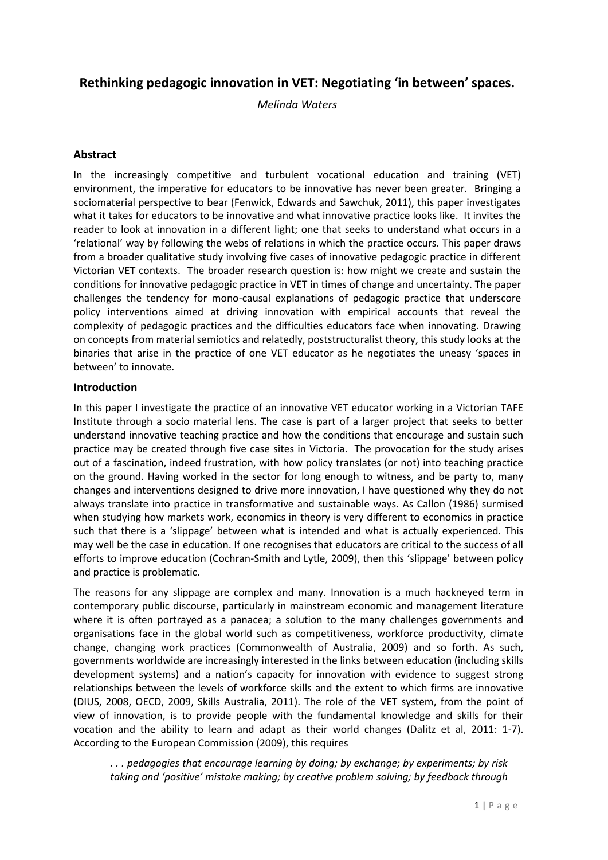# **Rethinking pedagogic innovation in VET: Negotiating 'in between' spaces.**

*Melinda Waters*

#### **Abstract**

In the increasingly competitive and turbulent vocational education and training (VET) environment, the imperative for educators to be innovative has never been greater. Bringing a sociomaterial perspective to bear (Fenwick, Edwards and Sawchuk, 2011), this paper investigates what it takes for educators to be innovative and what innovative practice looks like. It invites the reader to look at innovation in a different light; one that seeks to understand what occurs in a 'relational' way by following the webs of relations in which the practice occurs. This paper draws from a broader qualitative study involving five cases of innovative pedagogic practice in different Victorian VET contexts. The broader research question is: how might we create and sustain the conditions for innovative pedagogic practice in VET in times of change and uncertainty. The paper challenges the tendency for mono-causal explanations of pedagogic practice that underscore policy interventions aimed at driving innovation with empirical accounts that reveal the complexity of pedagogic practices and the difficulties educators face when innovating. Drawing on concepts from material semiotics and relatedly, poststructuralist theory, this study looks at the binaries that arise in the practice of one VET educator as he negotiates the uneasy 'spaces in between' to innovate.

#### **Introduction**

In this paper I investigate the practice of an innovative VET educator working in a Victorian TAFE Institute through a socio material lens. The case is part of a larger project that seeks to better understand innovative teaching practice and how the conditions that encourage and sustain such practice may be created through five case sites in Victoria. The provocation for the study arises out of a fascination, indeed frustration, with how policy translates (or not) into teaching practice on the ground. Having worked in the sector for long enough to witness, and be party to, many changes and interventions designed to drive more innovation, I have questioned why they do not always translate into practice in transformative and sustainable ways. As Callon (1986) surmised when studying how markets work, economics in theory is very different to economics in practice such that there is a 'slippage' between what is intended and what is actually experienced. This may well be the case in education. If one recognises that educators are critical to the success of all efforts to improve education (Cochran-Smith and Lytle, 2009), then this 'slippage' between policy and practice is problematic.

The reasons for any slippage are complex and many. Innovation is a much hackneyed term in contemporary public discourse, particularly in mainstream economic and management literature where it is often portrayed as a panacea; a solution to the many challenges governments and organisations face in the global world such as competitiveness, workforce productivity, climate change, changing work practices (Commonwealth of Australia, 2009) and so forth. As such, governments worldwide are increasingly interested in the links between education (including skills development systems) and a nation's capacity for innovation with evidence to suggest strong relationships between the levels of workforce skills and the extent to which firms are innovative (DIUS, 2008, OECD, 2009, Skills Australia, 2011). The role of the VET system, from the point of view of innovation, is to provide people with the fundamental knowledge and skills for their vocation and the ability to learn and adapt as their world changes (Dalitz et al, 2011: 1-7). According to the European Commission (2009), this requires

*. . . pedagogies that encourage learning by doing; by exchange; by experiments; by risk taking and 'positive' mistake making; by creative problem solving; by feedback through*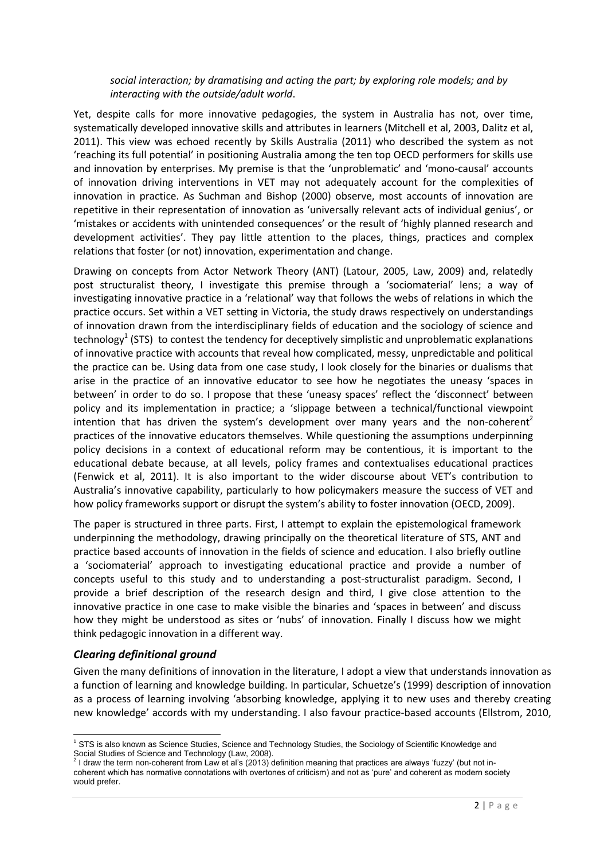#### *social interaction; by dramatising and acting the part; by exploring role models; and by interacting with the outside/adult world*.

Yet, despite calls for more innovative pedagogies, the system in Australia has not, over time, systematically developed innovative skills and attributes in learners (Mitchell et al, 2003, Dalitz et al, 2011). This view was echoed recently by Skills Australia (2011) who described the system as not 'reaching its full potential' in positioning Australia among the ten top OECD performers for skills use and innovation by enterprises. My premise is that the 'unproblematic' and 'mono-causal' accounts of innovation driving interventions in VET may not adequately account for the complexities of innovation in practice. As Suchman and Bishop (2000) observe, most accounts of innovation are repetitive in their representation of innovation as 'universally relevant acts of individual genius', or 'mistakes or accidents with unintended consequences' or the result of 'highly planned research and development activities'. They pay little attention to the places, things, practices and complex relations that foster (or not) innovation, experimentation and change.

Drawing on concepts from Actor Network Theory (ANT) (Latour, 2005, Law, 2009) and, relatedly post structuralist theory, I investigate this premise through a 'sociomaterial' lens; a way of investigating innovative practice in a 'relational' way that follows the webs of relations in which the practice occurs. Set within a VET setting in Victoria, the study draws respectively on understandings of innovation drawn from the interdisciplinary fields of education and the sociology of science and technology<sup>1</sup> (STS) to contest the tendency for deceptively simplistic and unproblematic explanations of innovative practice with accounts that reveal how complicated, messy, unpredictable and political the practice can be. Using data from one case study, I look closely for the binaries or dualisms that arise in the practice of an innovative educator to see how he negotiates the uneasy 'spaces in between' in order to do so. I propose that these 'uneasy spaces' reflect the 'disconnect' between policy and its implementation in practice; a 'slippage between a technical/functional viewpoint intention that has driven the system's development over many years and the non-coherent<sup>2</sup> practices of the innovative educators themselves. While questioning the assumptions underpinning policy decisions in a context of educational reform may be contentious, it is important to the educational debate because, at all levels, policy frames and contextualises educational practices (Fenwick et al, 2011). It is also important to the wider discourse about VET's contribution to Australia's innovative capability, particularly to how policymakers measure the success of VET and how policy frameworks support or disrupt the system's ability to foster innovation (OECD, 2009).

The paper is structured in three parts. First, I attempt to explain the epistemological framework underpinning the methodology, drawing principally on the theoretical literature of STS, ANT and practice based accounts of innovation in the fields of science and education. I also briefly outline a 'sociomaterial' approach to investigating educational practice and provide a number of concepts useful to this study and to understanding a post-structuralist paradigm. Second, I provide a brief description of the research design and third, I give close attention to the innovative practice in one case to make visible the binaries and 'spaces in between' and discuss how they might be understood as sites or 'nubs' of innovation. Finally I discuss how we might think pedagogic innovation in a different way.

### *Clearing definitional ground*

1

Given the many definitions of innovation in the literature, I adopt a view that understands innovation as a function of learning and knowledge building. In particular, Schuetze's (1999) description of innovation as a process of learning involving 'absorbing knowledge, applying it to new uses and thereby creating new knowledge' accords with my understanding. I also favour practice-based accounts (Ellstrom, 2010,

<sup>&</sup>lt;sup>1</sup> STS is also known as Science Studies, Science and Technology Studies, the Sociology of Scientific Knowledge and Social Studies of Science and Technology (Law, 2008).<br><sup>2</sup> I draw the term non-coherent from Law et al's (2013) definition meaning that practices are always 'fuzzy' (but not in-

coherent which has normative connotations with overtones of criticism) and not as 'pure' and coherent as modern society would prefer.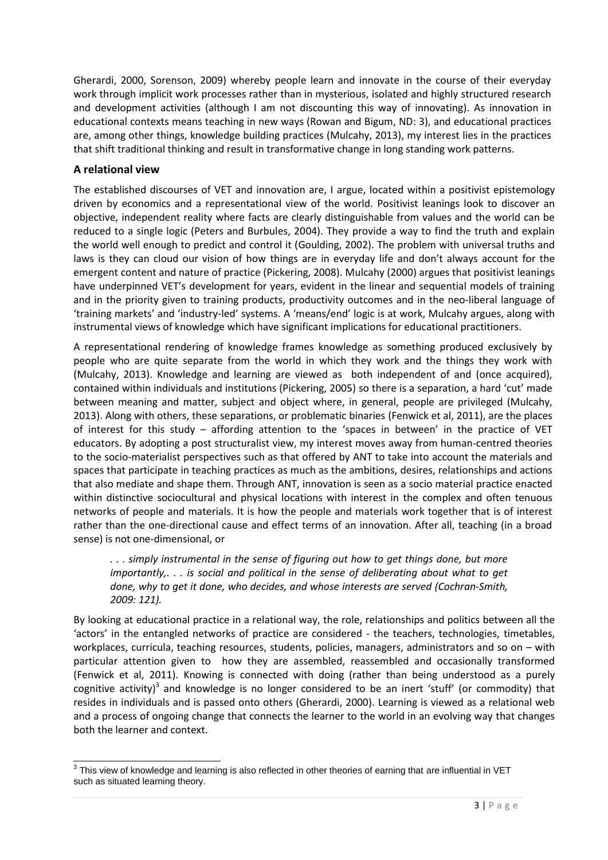Gherardi, 2000, Sorenson, 2009) whereby people learn and innovate in the course of their everyday work through implicit work processes rather than in mysterious, isolated and highly structured research and development activities (although I am not discounting this way of innovating). As innovation in educational contexts means teaching in new ways (Rowan and Bigum, ND: 3), and educational practices are, among other things, knowledge building practices (Mulcahy, 2013), my interest lies in the practices that shift traditional thinking and result in transformative change in long standing work patterns.

## **A relational view**

The established discourses of VET and innovation are, I argue, located within a positivist epistemology driven by economics and a representational view of the world. Positivist leanings look to discover an objective, independent reality where facts are clearly distinguishable from values and the world can be reduced to a single logic (Peters and Burbules, 2004). They provide a way to find the truth and explain the world well enough to predict and control it (Goulding, 2002). The problem with universal truths and laws is they can cloud our vision of how things are in everyday life and don't always account for the emergent content and nature of practice (Pickering, 2008). Mulcahy (2000) argues that positivist leanings have underpinned VET's development for years, evident in the linear and sequential models of training and in the priority given to training products, productivity outcomes and in the neo-liberal language of 'training markets' and 'industry-led' systems. A 'means/end' logic is at work, Mulcahy argues, along with instrumental views of knowledge which have significant implications for educational practitioners.

A representational rendering of knowledge frames knowledge as something produced exclusively by people who are quite separate from the world in which they work and the things they work with (Mulcahy, 2013). Knowledge and learning are viewed as both independent of and (once acquired), contained within individuals and institutions (Pickering, 2005) so there is a separation, a hard 'cut' made between meaning and matter, subject and object where, in general, people are privileged (Mulcahy, 2013). Along with others, these separations, or problematic binaries (Fenwick et al, 2011), are the places of interest for this study – affording attention to the 'spaces in between' in the practice of VET educators. By adopting a post structuralist view, my interest moves away from human-centred theories to the socio-materialist perspectives such as that offered by ANT to take into account the materials and spaces that participate in teaching practices as much as the ambitions, desires, relationships and actions that also mediate and shape them. Through ANT, innovation is seen as a socio material practice enacted within distinctive sociocultural and physical locations with interest in the complex and often tenuous networks of people and materials. It is how the people and materials work together that is of interest rather than the one-directional cause and effect terms of an innovation. After all, teaching (in a broad sense) is not one-dimensional, or

*. . . simply instrumental in the sense of figuring out how to get things done, but more importantly,. . . is social and political in the sense of deliberating about what to get done, why to get it done, who decides, and whose interests are served (Cochran-Smith, 2009: 121).*

By looking at educational practice in a relational way, the role, relationships and politics between all the 'actors' in the entangled networks of practice are considered - the teachers, technologies, timetables, workplaces, curricula, teaching resources, students, policies, managers, administrators and so on – with particular attention given to how they are assembled, reassembled and occasionally transformed (Fenwick et al, 2011). Knowing is connected with doing (rather than being understood as a purely cognitive activity)<sup>3</sup> and knowledge is no longer considered to be an inert 'stuff' (or commodity) that resides in individuals and is passed onto others (Gherardi, 2000). Learning is viewed as a relational web and a process of ongoing change that connects the learner to the world in an evolving way that changes both the learner and context.

 3 This view of knowledge and learning is also reflected in other theories of earning that are influential in VET such as situated learning theory.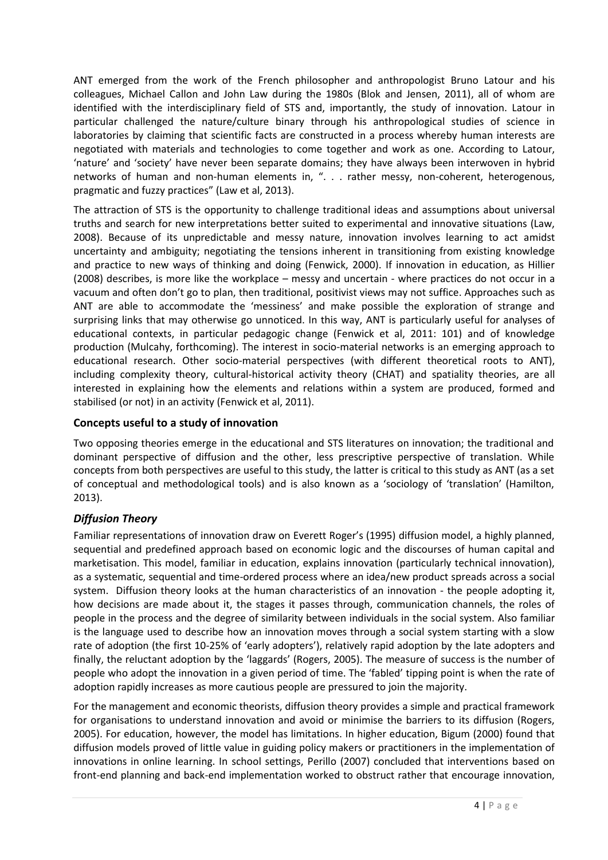ANT emerged from the work of the French philosopher and anthropologist Bruno Latour and his colleagues, Michael Callon and John Law during the 1980s (Blok and Jensen, 2011), all of whom are identified with the interdisciplinary field of STS and, importantly, the study of innovation. Latour in particular challenged the nature/culture binary through his anthropological studies of science in laboratories by claiming that scientific facts are constructed in a process whereby human interests are negotiated with materials and technologies to come together and work as one. According to Latour, 'nature' and 'society' have never been separate domains; they have always been interwoven in hybrid networks of human and non-human elements in, ". . . rather messy, non-coherent, heterogenous, pragmatic and fuzzy practices" (Law et al, 2013).

The attraction of STS is the opportunity to challenge traditional ideas and assumptions about universal truths and search for new interpretations better suited to experimental and innovative situations (Law, 2008). Because of its unpredictable and messy nature, innovation involves learning to act amidst uncertainty and ambiguity; negotiating the tensions inherent in transitioning from existing knowledge and practice to new ways of thinking and doing (Fenwick, 2000). If innovation in education, as Hillier (2008) describes, is more like the workplace – messy and uncertain - where practices do not occur in a vacuum and often don't go to plan, then traditional, positivist views may not suffice. Approaches such as ANT are able to accommodate the 'messiness' and make possible the exploration of strange and surprising links that may otherwise go unnoticed. In this way, ANT is particularly useful for analyses of educational contexts, in particular pedagogic change (Fenwick et al, 2011: 101) and of knowledge production (Mulcahy, forthcoming). The interest in socio-material networks is an emerging approach to educational research. Other socio-material perspectives (with different theoretical roots to ANT), including complexity theory, cultural-historical activity theory (CHAT) and spatiality theories, are all interested in explaining how the elements and relations within a system are produced, formed and stabilised (or not) in an activity (Fenwick et al, 2011).

# **Concepts useful to a study of innovation**

Two opposing theories emerge in the educational and STS literatures on innovation; the traditional and dominant perspective of diffusion and the other, less prescriptive perspective of translation. While concepts from both perspectives are useful to this study, the latter is critical to this study as ANT (as a set of conceptual and methodological tools) and is also known as a 'sociology of 'translation' (Hamilton, 2013).

# *Diffusion Theory*

Familiar representations of innovation draw on Everett Roger's (1995) diffusion model, a highly planned, sequential and predefined approach based on economic logic and the discourses of human capital and marketisation. This model, familiar in education, explains innovation (particularly technical innovation), as a systematic, sequential and time-ordered process where an idea/new product spreads across a social system. Diffusion theory looks at the human characteristics of an innovation - the people adopting it, how decisions are made about it, the stages it passes through, communication channels, the roles of people in the process and the degree of similarity between individuals in the social system. Also familiar is the language used to describe how an innovation moves through a social system starting with a slow rate of adoption (the first 10-25% of 'early adopters'), relatively rapid adoption by the late adopters and finally, the reluctant adoption by the 'laggards' (Rogers, 2005). The measure of success is the number of people who adopt the innovation in a given period of time. The 'fabled' tipping point is when the rate of adoption rapidly increases as more cautious people are pressured to join the majority.

For the management and economic theorists, diffusion theory provides a simple and practical framework for organisations to understand innovation and avoid or minimise the barriers to its diffusion (Rogers, 2005). For education, however, the model has limitations. In higher education, Bigum (2000) found that diffusion models proved of little value in guiding policy makers or practitioners in the implementation of innovations in online learning. In school settings, Perillo (2007) concluded that interventions based on front-end planning and back-end implementation worked to obstruct rather that encourage innovation,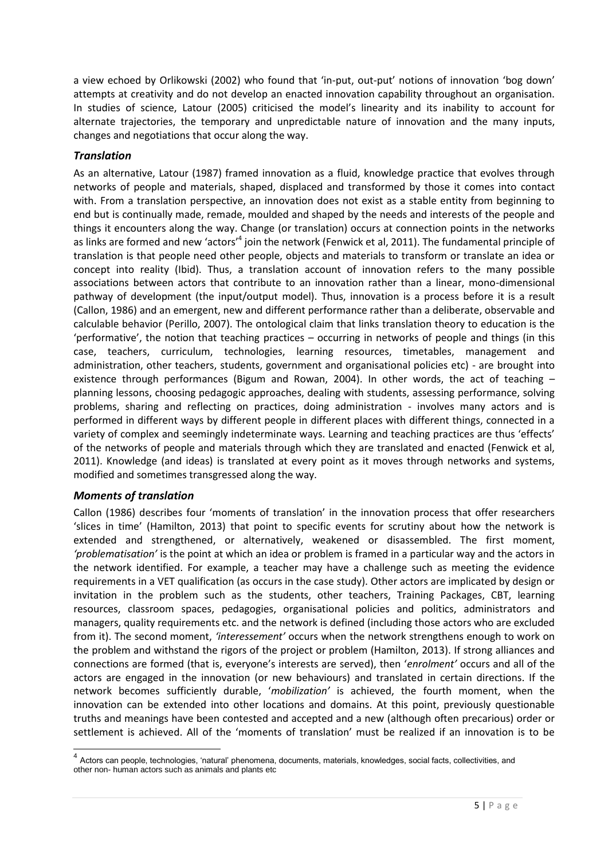a view echoed by Orlikowski (2002) who found that 'in-put, out-put' notions of innovation 'bog down' attempts at creativity and do not develop an enacted innovation capability throughout an organisation. In studies of science, Latour (2005) criticised the model's linearity and its inability to account for alternate trajectories, the temporary and unpredictable nature of innovation and the many inputs, changes and negotiations that occur along the way.

## *Translation*

As an alternative, Latour (1987) framed innovation as a fluid, knowledge practice that evolves through networks of people and materials, shaped, displaced and transformed by those it comes into contact with. From a translation perspective, an innovation does not exist as a stable entity from beginning to end but is continually made, remade, moulded and shaped by the needs and interests of the people and things it encounters along the way. Change (or translation) occurs at connection points in the networks as links are formed and new 'actors'<sup>4</sup> join the network (Fenwick et al, 2011). The fundamental principle of translation is that people need other people, objects and materials to transform or translate an idea or concept into reality (Ibid). Thus, a translation account of innovation refers to the many possible associations between actors that contribute to an innovation rather than a linear, mono-dimensional pathway of development (the input/output model). Thus, innovation is a process before it is a result (Callon, 1986) and an emergent, new and different performance rather than a deliberate, observable and calculable behavior (Perillo, 2007). The ontological claim that links translation theory to education is the 'performative', the notion that teaching practices – occurring in networks of people and things (in this case, teachers, curriculum, technologies, learning resources, timetables, management and administration, other teachers, students, government and organisational policies etc) - are brought into existence through performances (Bigum and Rowan, 2004). In other words, the act of teaching – planning lessons, choosing pedagogic approaches, dealing with students, assessing performance, solving problems, sharing and reflecting on practices, doing administration - involves many actors and is performed in different ways by different people in different places with different things, connected in a variety of complex and seemingly indeterminate ways. Learning and teaching practices are thus 'effects' of the networks of people and materials through which they are translated and enacted (Fenwick et al, 2011). Knowledge (and ideas) is translated at every point as it moves through networks and systems, modified and sometimes transgressed along the way.

### *Moments of translation*

Callon (1986) describes four 'moments of translation' in the innovation process that offer researchers 'slices in time' (Hamilton, 2013) that point to specific events for scrutiny about how the network is extended and strengthened, or alternatively, weakened or disassembled. The first moment, *'problematisation'* is the point at which an idea or problem is framed in a particular way and the actors in the network identified. For example, a teacher may have a challenge such as meeting the evidence requirements in a VET qualification (as occurs in the case study). Other actors are implicated by design or invitation in the problem such as the students, other teachers, Training Packages, CBT, learning resources, classroom spaces, pedagogies, organisational policies and politics, administrators and managers, quality requirements etc. and the network is defined (including those actors who are excluded from it). The second moment, *'interessement'* occurs when the network strengthens enough to work on the problem and withstand the rigors of the project or problem (Hamilton, 2013). If strong alliances and connections are formed (that is, everyone's interests are served), then '*enrolment'* occurs and all of the actors are engaged in the innovation (or new behaviours) and translated in certain directions. If the network becomes sufficiently durable, '*mobilization'* is achieved, the fourth moment, when the innovation can be extended into other locations and domains. At this point, previously questionable truths and meanings have been contested and accepted and a new (although often precarious) order or settlement is achieved. All of the 'moments of translation' must be realized if an innovation is to be

 4 Actors can people, technologies, 'natural' phenomena, documents, materials, knowledges, social facts, collectivities, and other non- human actors such as animals and plants etc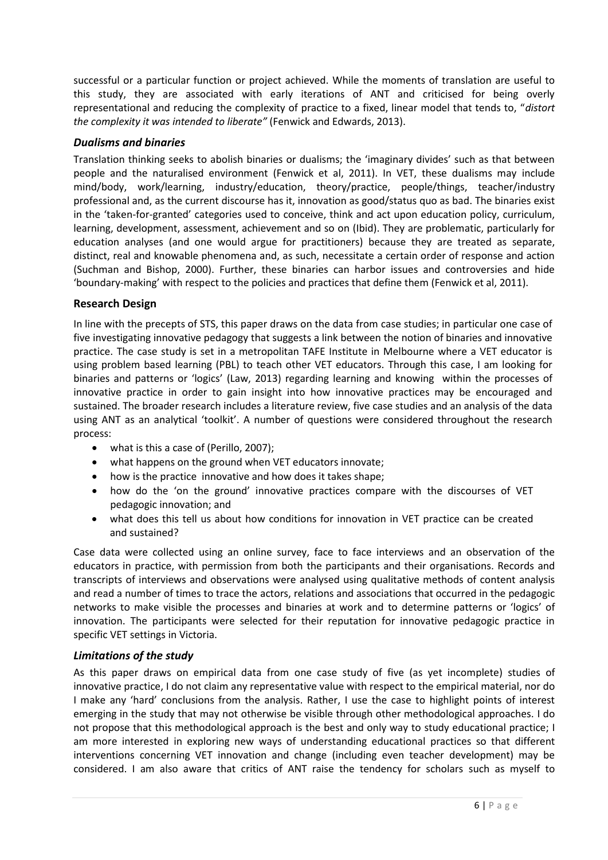successful or a particular function or project achieved. While the moments of translation are useful to this study, they are associated with early iterations of ANT and criticised for being overly representational and reducing the complexity of practice to a fixed, linear model that tends to, "*distort the complexity it was intended to liberate"* (Fenwick and Edwards, 2013).

### *Dualisms and binaries*

Translation thinking seeks to abolish binaries or dualisms; the 'imaginary divides' such as that between people and the naturalised environment (Fenwick et al, 2011). In VET, these dualisms may include mind/body, work/learning, industry/education, theory/practice, people/things, teacher/industry professional and, as the current discourse has it, innovation as good/status quo as bad. The binaries exist in the 'taken-for-granted' categories used to conceive, think and act upon education policy, curriculum, learning, development, assessment, achievement and so on (Ibid). They are problematic, particularly for education analyses (and one would argue for practitioners) because they are treated as separate, distinct, real and knowable phenomena and, as such, necessitate a certain order of response and action (Suchman and Bishop, 2000). Further, these binaries can harbor issues and controversies and hide 'boundary-making' with respect to the policies and practices that define them (Fenwick et al, 2011).

### **Research Design**

In line with the precepts of STS, this paper draws on the data from case studies; in particular one case of five investigating innovative pedagogy that suggests a link between the notion of binaries and innovative practice. The case study is set in a metropolitan TAFE Institute in Melbourne where a VET educator is using problem based learning (PBL) to teach other VET educators. Through this case, I am looking for binaries and patterns or 'logics' (Law, 2013) regarding learning and knowing within the processes of innovative practice in order to gain insight into how innovative practices may be encouraged and sustained. The broader research includes a literature review, five case studies and an analysis of the data using ANT as an analytical 'toolkit'. A number of questions were considered throughout the research process:

- what is this a case of (Perillo, 2007);
- what happens on the ground when VET educators innovate;
- how is the practice innovative and how does it takes shape;
- how do the 'on the ground' innovative practices compare with the discourses of VET pedagogic innovation; and
- what does this tell us about how conditions for innovation in VET practice can be created and sustained?

Case data were collected using an online survey, face to face interviews and an observation of the educators in practice, with permission from both the participants and their organisations. Records and transcripts of interviews and observations were analysed using qualitative methods of content analysis and read a number of times to trace the actors, relations and associations that occurred in the pedagogic networks to make visible the processes and binaries at work and to determine patterns or 'logics' of innovation. The participants were selected for their reputation for innovative pedagogic practice in specific VET settings in Victoria.

# *Limitations of the study*

As this paper draws on empirical data from one case study of five (as yet incomplete) studies of innovative practice, I do not claim any representative value with respect to the empirical material, nor do I make any 'hard' conclusions from the analysis. Rather, I use the case to highlight points of interest emerging in the study that may not otherwise be visible through other methodological approaches. I do not propose that this methodological approach is the best and only way to study educational practice; I am more interested in exploring new ways of understanding educational practices so that different interventions concerning VET innovation and change (including even teacher development) may be considered. I am also aware that critics of ANT raise the tendency for scholars such as myself to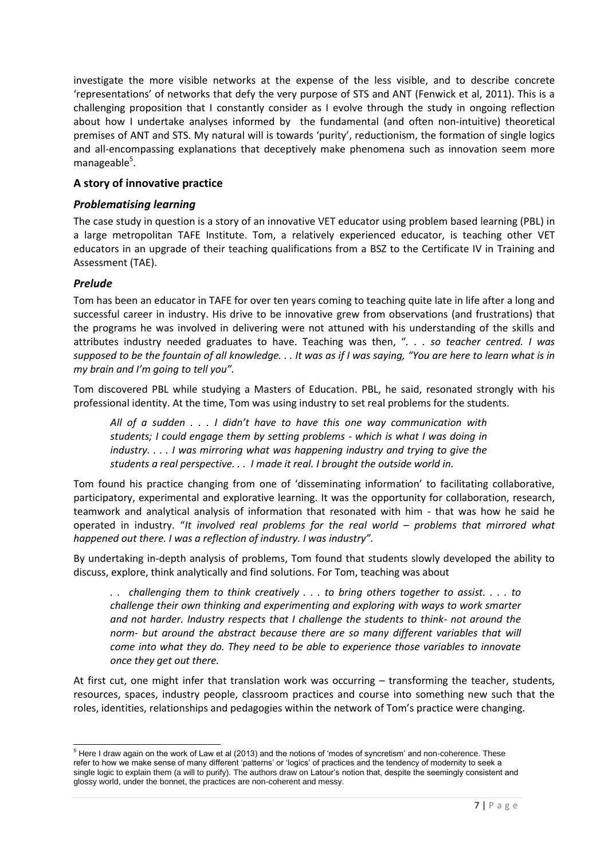investigate the more visible networks at the expense of the less visible, and to describe concrete 'representations' of networks that defy the very purpose of STS and ANT (Fenwick et al, 2011). This is a challenging proposition that I constantly consider as I evolve through the study in ongoing reflection about how I undertake analyses informed by the fundamental (and often non-intuitive) theoretical premises of ANT and STS. My natural will is towards 'purity', reductionism, the formation of single logics and all-encompassing explanations that deceptively make phenomena such as innovation seem more manageable<sup>5</sup>.

## **A story of innovative practice**

### *Problematising learning*

The case study in question is a story of an innovative VET educator using problem based learning (PBL) in a large metropolitan TAFE Institute. Tom, a relatively experienced educator, is teaching other VET educators in an upgrade of their teaching qualifications from a BSZ to the Certificate IV in Training and Assessment (TAE).

### *Prelude*

-

Tom has been an educator in TAFE for over ten years coming to teaching quite late in life after a long and successful career in industry. His drive to be innovative grew from observations (and frustrations) that the programs he was involved in delivering were not attuned with his understanding of the skills and attributes industry needed graduates to have. Teaching was then, "*. . . so teacher centred. I was supposed to be the fountain of all knowledge. . . It was as if I was saying, "You are here to learn what is in my brain and I'm going to tell you".*

Tom discovered PBL while studying a Masters of Education. PBL, he said, resonated strongly with his professional identity. At the time, Tom was using industry to set real problems for the students.

*All of a sudden . . . I didn't have to have this one way communication with students; I could engage them by setting problems - which is what I was doing in industry. . . . I was mirroring what was happening industry and trying to give the students a real perspective. . . I made it real. I brought the outside world in.*

Tom found his practice changing from one of 'disseminating information' to facilitating collaborative, participatory, experimental and explorative learning. It was the opportunity for collaboration, research, teamwork and analytical analysis of information that resonated with him - that was how he said he operated in industry. "*It involved real problems for the real world – problems that mirrored what happened out there. I was a reflection of industry. I was industry".* 

By undertaking in-depth analysis of problems, Tom found that students slowly developed the ability to discuss, explore, think analytically and find solutions. For Tom, teaching was about

*. . challenging them to think creatively . . . to bring others together to assist. . . . to challenge their own thinking and experimenting and exploring with ways to work smarter and not harder. Industry respects that I challenge the students to think- not around the norm- but around the abstract because there are so many different variables that will come into what they do. They need to be able to experience those variables to innovate once they get out there.*

At first cut, one might infer that translation work was occurring – transforming the teacher, students, resources, spaces, industry people, classroom practices and course into something new such that the roles, identities, relationships and pedagogies within the network of Tom's practice were changing.

<sup>&</sup>lt;sup>5</sup> Here I draw again on the work of Law et al (2013) and the notions of 'modes of syncretism' and non-coherence. These refer to how we make sense of many different 'patterns' or 'logics' of practices and the tendency of modernity to seek a single logic to explain them (a will to purify). The authors draw on Latour's notion that, despite the seemingly consistent and glossy world, under the bonnet, the practices are non-coherent and messy.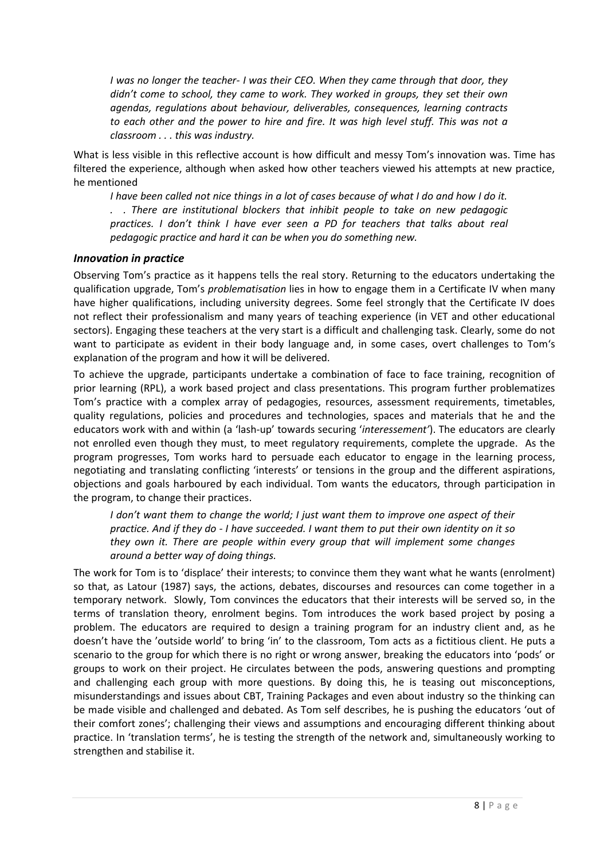*I was no longer the teacher- I was their CEO. When they came through that door, they didn't come to school, they came to work. They worked in groups, they set their own agendas, regulations about behaviour, deliverables, consequences, learning contracts to each other and the power to hire and fire. It was high level stuff. This was not a classroom . . . this was industry.* 

What is less visible in this reflective account is how difficult and messy Tom's innovation was. Time has filtered the experience, although when asked how other teachers viewed his attempts at new practice, he mentioned

*I have been called not nice things in a lot of cases because of what I do and how I do it. . . There are institutional blockers that inhibit people to take on new pedagogic practices. I don't think I have ever seen a PD for teachers that talks about real pedagogic practice and hard it can be when you do something new.* 

#### *Innovation in practice*

Observing Tom's practice as it happens tells the real story. Returning to the educators undertaking the qualification upgrade, Tom's *problematisation* lies in how to engage them in a Certificate IV when many have higher qualifications, including university degrees. Some feel strongly that the Certificate IV does not reflect their professionalism and many years of teaching experience (in VET and other educational sectors). Engaging these teachers at the very start is a difficult and challenging task. Clearly, some do not want to participate as evident in their body language and, in some cases, overt challenges to Tom's explanation of the program and how it will be delivered.

To achieve the upgrade, participants undertake a combination of face to face training, recognition of prior learning (RPL), a work based project and class presentations. This program further problematizes Tom's practice with a complex array of pedagogies, resources, assessment requirements, timetables, quality regulations, policies and procedures and technologies, spaces and materials that he and the educators work with and within (a 'lash-up' towards securing '*interessement'*). The educators are clearly not enrolled even though they must, to meet regulatory requirements, complete the upgrade. As the program progresses, Tom works hard to persuade each educator to engage in the learning process, negotiating and translating conflicting 'interests' or tensions in the group and the different aspirations, objections and goals harboured by each individual. Tom wants the educators, through participation in the program, to change their practices.

*I don't want them to change the world; I just want them to improve one aspect of their practice. And if they do - I have succeeded. I want them to put their own identity on it so they own it. There are people within every group that will implement some changes around a better way of doing things.* 

The work for Tom is to 'displace' their interests; to convince them they want what he wants (enrolment) so that, as Latour (1987) says, the actions, debates, discourses and resources can come together in a temporary network. Slowly, Tom convinces the educators that their interests will be served so, in the terms of translation theory, enrolment begins. Tom introduces the work based project by posing a problem. The educators are required to design a training program for an industry client and, as he doesn't have the 'outside world' to bring 'in' to the classroom, Tom acts as a fictitious client. He puts a scenario to the group for which there is no right or wrong answer, breaking the educators into 'pods' or groups to work on their project. He circulates between the pods, answering questions and prompting and challenging each group with more questions. By doing this, he is teasing out misconceptions, misunderstandings and issues about CBT, Training Packages and even about industry so the thinking can be made visible and challenged and debated. As Tom self describes, he is pushing the educators 'out of their comfort zones'; challenging their views and assumptions and encouraging different thinking about practice. In 'translation terms', he is testing the strength of the network and, simultaneously working to strengthen and stabilise it.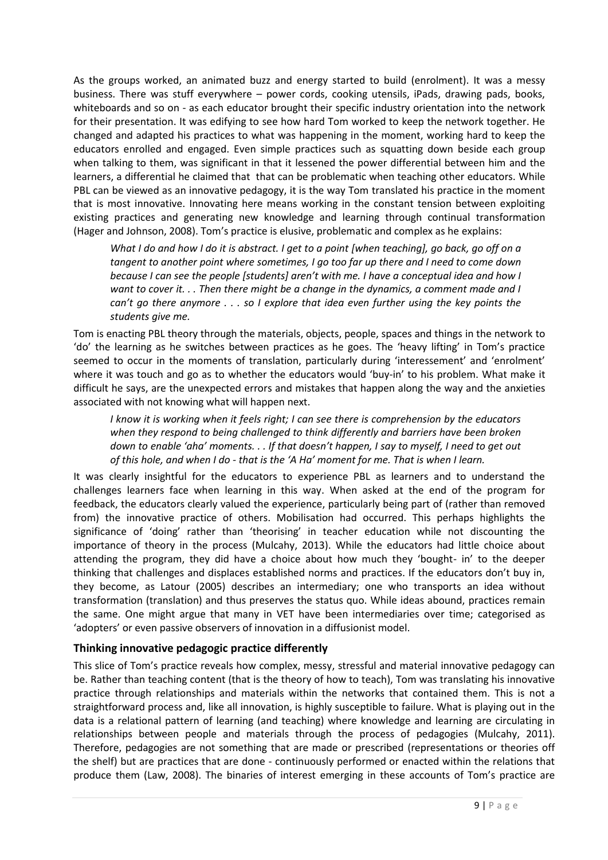As the groups worked, an animated buzz and energy started to build (enrolment). It was a messy business. There was stuff everywhere – power cords, cooking utensils, iPads, drawing pads, books, whiteboards and so on - as each educator brought their specific industry orientation into the network for their presentation. It was edifying to see how hard Tom worked to keep the network together. He changed and adapted his practices to what was happening in the moment, working hard to keep the educators enrolled and engaged. Even simple practices such as squatting down beside each group when talking to them, was significant in that it lessened the power differential between him and the learners, a differential he claimed that that can be problematic when teaching other educators. While PBL can be viewed as an innovative pedagogy, it is the way Tom translated his practice in the moment that is most innovative. Innovating here means working in the constant tension between exploiting existing practices and generating new knowledge and learning through continual transformation (Hager and Johnson, 2008). Tom's practice is elusive, problematic and complex as he explains:

*What I do and how I do it is abstract. I get to a point [when teaching], go back, go off on a tangent to another point where sometimes, I go too far up there and I need to come down because I can see the people [students] aren't with me. I have a conceptual idea and how I want to cover it. . . Then there might be a change in the dynamics, a comment made and I can't go there anymore . . . so I explore that idea even further using the key points the students give me.*

Tom is enacting PBL theory through the materials, objects, people, spaces and things in the network to 'do' the learning as he switches between practices as he goes. The 'heavy lifting' in Tom's practice seemed to occur in the moments of translation, particularly during 'interessement' and 'enrolment' where it was touch and go as to whether the educators would 'buy-in' to his problem. What make it difficult he says, are the unexpected errors and mistakes that happen along the way and the anxieties associated with not knowing what will happen next.

*I know it is working when it feels right; I can see there is comprehension by the educators when they respond to being challenged to think differently and barriers have been broken down to enable 'aha' moments. . . If that doesn't happen, I say to myself, I need to get out of this hole, and when I do - that is the 'A Ha' moment for me. That is when I learn.*

It was clearly insightful for the educators to experience PBL as learners and to understand the challenges learners face when learning in this way. When asked at the end of the program for feedback, the educators clearly valued the experience, particularly being part of (rather than removed from) the innovative practice of others. Mobilisation had occurred. This perhaps highlights the significance of 'doing' rather than 'theorising' in teacher education while not discounting the importance of theory in the process (Mulcahy, 2013). While the educators had little choice about attending the program, they did have a choice about how much they 'bought- in' to the deeper thinking that challenges and displaces established norms and practices. If the educators don't buy in, they become, as Latour (2005) describes an intermediary; one who transports an idea without transformation (translation) and thus preserves the status quo. While ideas abound, practices remain the same. One might argue that many in VET have been intermediaries over time; categorised as 'adopters' or even passive observers of innovation in a diffusionist model.

### **Thinking innovative pedagogic practice differently**

This slice of Tom's practice reveals how complex, messy, stressful and material innovative pedagogy can be. Rather than teaching content (that is the theory of how to teach), Tom was translating his innovative practice through relationships and materials within the networks that contained them. This is not a straightforward process and, like all innovation, is highly susceptible to failure. What is playing out in the data is a relational pattern of learning (and teaching) where knowledge and learning are circulating in relationships between people and materials through the process of pedagogies (Mulcahy, 2011). Therefore, pedagogies are not something that are made or prescribed (representations or theories off the shelf) but are practices that are done - continuously performed or enacted within the relations that produce them (Law, 2008). The binaries of interest emerging in these accounts of Tom's practice are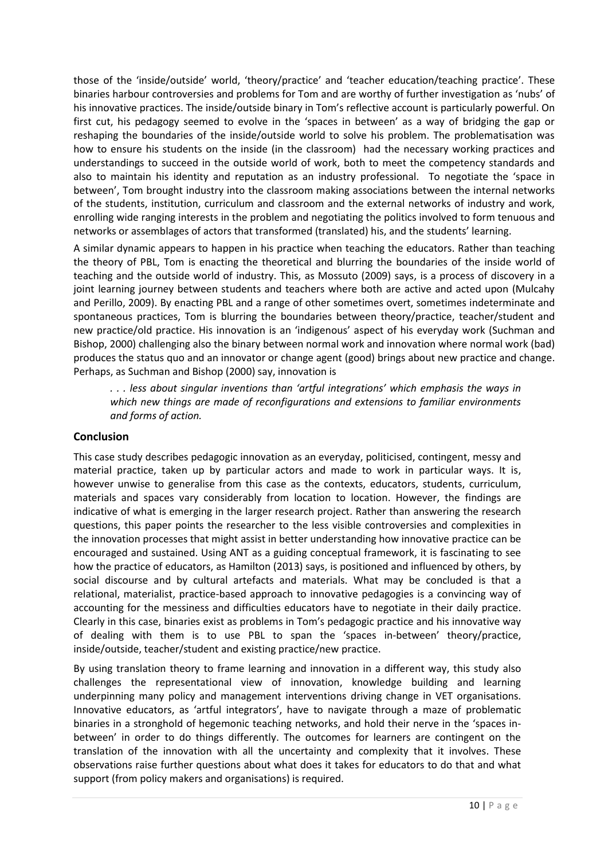those of the 'inside/outside' world, 'theory/practice' and 'teacher education/teaching practice'. These binaries harbour controversies and problems for Tom and are worthy of further investigation as 'nubs' of his innovative practices. The inside/outside binary in Tom's reflective account is particularly powerful. On first cut, his pedagogy seemed to evolve in the 'spaces in between' as a way of bridging the gap or reshaping the boundaries of the inside/outside world to solve his problem. The problematisation was how to ensure his students on the inside (in the classroom) had the necessary working practices and understandings to succeed in the outside world of work, both to meet the competency standards and also to maintain his identity and reputation as an industry professional. To negotiate the 'space in between', Tom brought industry into the classroom making associations between the internal networks of the students, institution, curriculum and classroom and the external networks of industry and work, enrolling wide ranging interests in the problem and negotiating the politics involved to form tenuous and networks or assemblages of actors that transformed (translated) his, and the students' learning.

A similar dynamic appears to happen in his practice when teaching the educators. Rather than teaching the theory of PBL, Tom is enacting the theoretical and blurring the boundaries of the inside world of teaching and the outside world of industry. This, as Mossuto (2009) says, is a process of discovery in a joint learning journey between students and teachers where both are active and acted upon (Mulcahy and Perillo, 2009). By enacting PBL and a range of other sometimes overt, sometimes indeterminate and spontaneous practices, Tom is blurring the boundaries between theory/practice, teacher/student and new practice/old practice. His innovation is an 'indigenous' aspect of his everyday work (Suchman and Bishop, 2000) challenging also the binary between normal work and innovation where normal work (bad) produces the status quo and an innovator or change agent (good) brings about new practice and change. Perhaps, as Suchman and Bishop (2000) say, innovation is

*. . . less about singular inventions than 'artful integrations' which emphasis the ways in which new things are made of reconfigurations and extensions to familiar environments and forms of action.* 

### **Conclusion**

This case study describes pedagogic innovation as an everyday, politicised, contingent, messy and material practice, taken up by particular actors and made to work in particular ways. It is, however unwise to generalise from this case as the contexts, educators, students, curriculum, materials and spaces vary considerably from location to location. However, the findings are indicative of what is emerging in the larger research project. Rather than answering the research questions, this paper points the researcher to the less visible controversies and complexities in the innovation processes that might assist in better understanding how innovative practice can be encouraged and sustained. Using ANT as a guiding conceptual framework, it is fascinating to see how the practice of educators, as Hamilton (2013) says, is positioned and influenced by others, by social discourse and by cultural artefacts and materials. What may be concluded is that a relational, materialist, practice-based approach to innovative pedagogies is a convincing way of accounting for the messiness and difficulties educators have to negotiate in their daily practice. Clearly in this case, binaries exist as problems in Tom's pedagogic practice and his innovative way of dealing with them is to use PBL to span the 'spaces in-between' theory/practice, inside/outside, teacher/student and existing practice/new practice.

By using translation theory to frame learning and innovation in a different way, this study also challenges the representational view of innovation, knowledge building and learning underpinning many policy and management interventions driving change in VET organisations. Innovative educators, as 'artful integrators', have to navigate through a maze of problematic binaries in a stronghold of hegemonic teaching networks, and hold their nerve in the 'spaces inbetween' in order to do things differently. The outcomes for learners are contingent on the translation of the innovation with all the uncertainty and complexity that it involves. These observations raise further questions about what does it takes for educators to do that and what support (from policy makers and organisations) is required.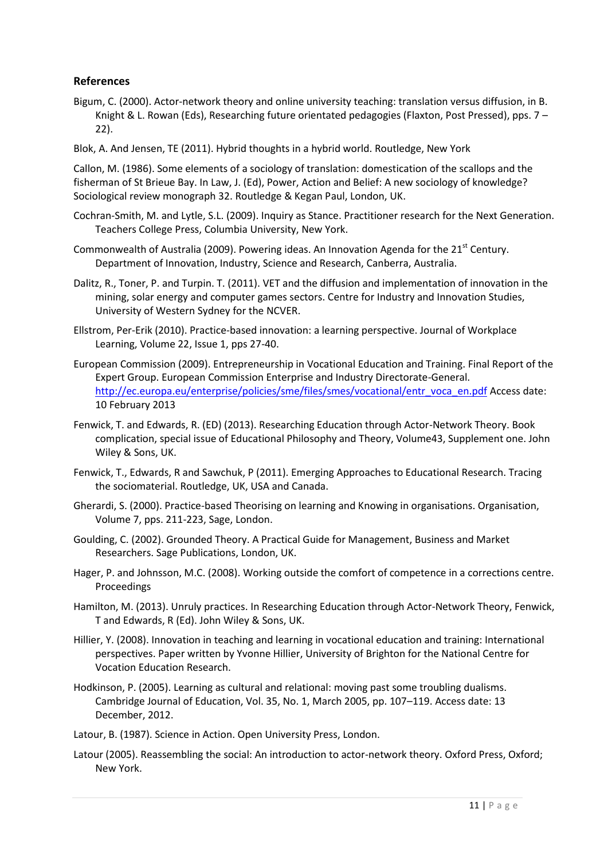### **References**

- Bigum, C. (2000). Actor-network theory and online university teaching: translation versus diffusion, in B. Knight & L. Rowan (Eds), Researching future orientated pedagogies (Flaxton, Post Pressed), pps. 7 – 22).
- Blok, A. And Jensen, TE (2011). Hybrid thoughts in a hybrid world. Routledge, New York

Callon, M. (1986). Some elements of a sociology of translation: domestication of the scallops and the fisherman of St Brieue Bay. In Law, J. (Ed), Power, Action and Belief: A new sociology of knowledge? Sociological review monograph 32. Routledge & Kegan Paul, London, UK.

- Cochran-Smith, M. and Lytle, S.L. (2009). Inquiry as Stance. Practitioner research for the Next Generation. Teachers College Press, Columbia University, New York.
- Commonwealth of Australia (2009). Powering ideas. An Innovation Agenda for the  $21<sup>st</sup>$  Century. Department of Innovation, Industry, Science and Research, Canberra, Australia.
- Dalitz, R., Toner, P. and Turpin. T. (2011). VET and the diffusion and implementation of innovation in the mining, solar energy and computer games sectors. Centre for Industry and Innovation Studies, University of Western Sydney for the NCVER.
- Ellstrom, Per-Erik (2010). Practice-based innovation: a learning perspective. Journal of Workplace Learning, Volume 22, Issue 1, pps 27-40.
- European Commission (2009). Entrepreneurship in Vocational Education and Training. Final Report of the Expert Group. European Commission Enterprise and Industry Directorate-General. [http://ec.europa.eu/enterprise/policies/sme/files/smes/vocational/entr\\_voca\\_en.pdf](http://ec.europa.eu/enterprise/policies/sme/files/smes/vocational/entr_voca_en.pdf) Access date: 10 February 2013
- Fenwick, T. and Edwards, R. (ED) (2013). Researching Education through Actor-Network Theory. Book complication, special issue of Educational Philosophy and Theory, Volume43, Supplement one. John Wiley & Sons, UK.
- Fenwick, T., Edwards, R and Sawchuk, P (2011). Emerging Approaches to Educational Research. Tracing the sociomaterial. Routledge, UK, USA and Canada.
- Gherardi, S. (2000). Practice-based Theorising on learning and Knowing in organisations. Organisation, Volume 7, pps. 211-223, Sage, London.
- Goulding, C. (2002). Grounded Theory. A Practical Guide for Management, Business and Market Researchers. Sage Publications, London, UK.
- Hager, P. and Johnsson, M.C. (2008). Working outside the comfort of competence in a corrections centre. Proceedings
- Hamilton, M. (2013). Unruly practices. In Researching Education through Actor-Network Theory, Fenwick, T and Edwards, R (Ed). John Wiley & Sons, UK.
- Hillier, Y. (2008). Innovation in teaching and learning in vocational education and training: International perspectives. Paper written by Yvonne Hillier, University of Brighton for the National Centre for Vocation Education Research.
- Hodkinson, P. (2005). Learning as cultural and relational: moving past some troubling dualisms. Cambridge Journal of Education, Vol. 35, No. 1, March 2005, pp. 107–119. Access date: 13 December, 2012.
- Latour, B. (1987). Science in Action. Open University Press, London.
- Latour (2005). Reassembling the social: An introduction to actor-network theory. Oxford Press, Oxford; New York.